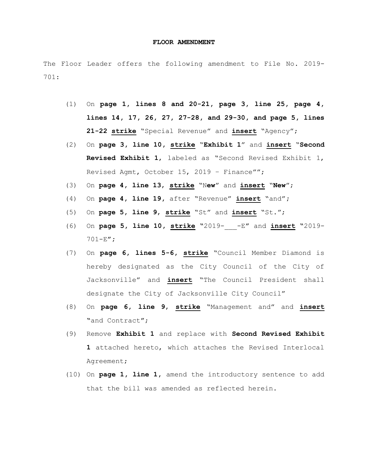## **FLOOR AMENDMENT**

The Floor Leader offers the following amendment to File No. 2019- 701:

- (1) On **page 1, lines 8 and 20-21, page 3, line 25, page 4, lines 14, 17, 26, 27, 27-28, and 29-30, and page 5, lines 21-22 strike** "Special Revenue" and **insert** "Agency";
- (2) On **page 3, line 10, strike** "**Exhibit 1**" and **insert** "**Second Revised Exhibit 1**, labeled as "Second Revised Exhibit 1, Revised Agmt, October 15, 2019 – Finance"";
- (3) On **page 4, line 13**, **strike** "N**ew**" and **insert** "**New**";
- (4) On **page 4, line 19,** after "Revenue" **insert** "and"**;**
- (5) On **page 5, line 9**, **strike** "St" and **insert** "St.";
- (6) On **page 5, line 10, strike "**2019-\_\_\_-E**"** and **insert "**2019- 701-E**";**
- (7) On **page 6, lines 5-6, strike** "Council Member Diamond is hereby designated as the City Council of the City of Jacksonville" and **insert** "The Council President shall designate the City of Jacksonville City Council"
- (8) On **page 6, line 9**, **strike** "Management and" and **insert "**and Contract**"**;
- (9) Remove **Exhibit 1** and replace with **Second Revised Exhibit 1** attached hereto, which attaches the Revised Interlocal Agreement;
- (10) On **page 1, line 1,** amend the introductory sentence to add that the bill was amended as reflected herein.